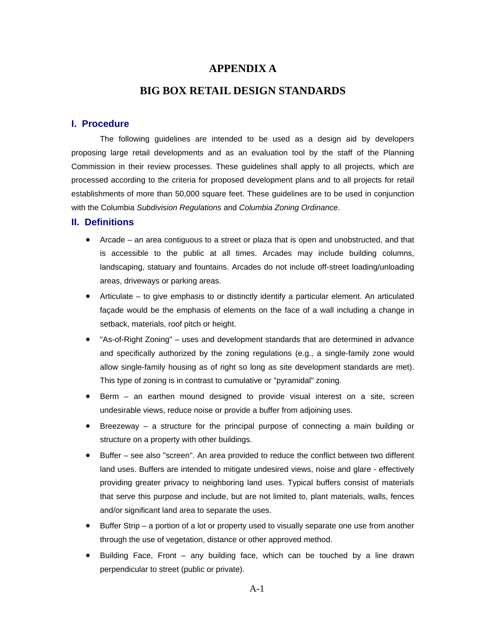# **APPENDIX A**

# **BIG BOX RETAIL DESIGN STANDARDS**

## **I. Procedure**

The following guidelines are intended to be used as a design aid by developers proposing large retail developments and as an evaluation tool by the staff of the Planning Commission in their review processes. These guidelines shall apply to all projects, which are processed according to the criteria for proposed development plans and to all projects for retail establishments of more than 50,000 square feet. These guidelines are to be used in conjunction with the Columbia *Subdivision Regulations* and *Columbia Zoning Ordinance*.

# **II. Definitions**

- Arcade an area contiguous to a street or plaza that is open and unobstructed, and that is accessible to the public at all times. Arcades may include building columns, landscaping, statuary and fountains. Arcades do not include off-street loading/unloading areas, driveways or parking areas.
- Articulate to give emphasis to or distinctly identify a particular element. An articulated façade would be the emphasis of elements on the face of a wall including a change in setback, materials, roof pitch or height.
- "As-of-Right Zoning" uses and development standards that are determined in advance and specifically authorized by the zoning regulations (e.g., a single-family zone would allow single-family housing as of right so long as site development standards are met). This type of zoning is in contrast to cumulative or "pyramidal" zoning.
- Berm an earthen mound designed to provide visual interest on a site, screen undesirable views, reduce noise or provide a buffer from adjoining uses.
- Breezeway a structure for the principal purpose of connecting a main building or structure on a property with other buildings.
- Buffer see also "screen". An area provided to reduce the conflict between two different land uses. Buffers are intended to mitigate undesired views, noise and glare - effectively providing greater privacy to neighboring land uses. Typical buffers consist of materials that serve this purpose and include, but are not limited to, plant materials, walls, fences and/or significant land area to separate the uses.
- Buffer Strip a portion of a lot or property used to visually separate one use from another through the use of vegetation, distance or other approved method.
- Building Face, Front any building face, which can be touched by a line drawn perpendicular to street (public or private).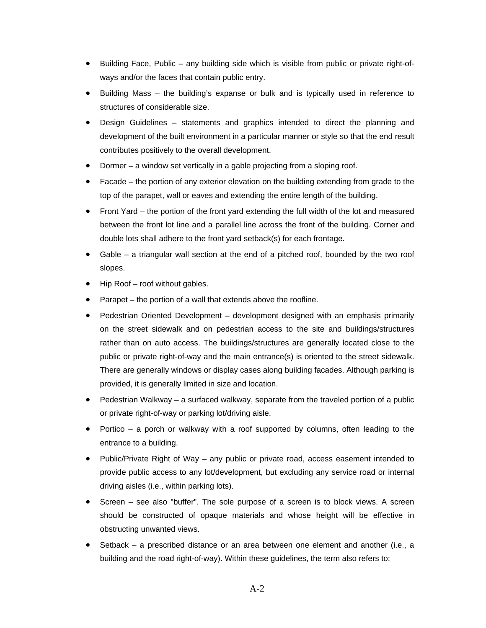- Building Face, Public any building side which is visible from public or private right-ofways and/or the faces that contain public entry.
- Building Mass the building's expanse or bulk and is typically used in reference to structures of considerable size.
- Design Guidelines statements and graphics intended to direct the planning and development of the built environment in a particular manner or style so that the end result contributes positively to the overall development.
- Dormer a window set vertically in a gable projecting from a sloping roof.
- Facade the portion of any exterior elevation on the building extending from grade to the top of the parapet, wall or eaves and extending the entire length of the building.
- Front Yard the portion of the front yard extending the full width of the lot and measured between the front lot line and a parallel line across the front of the building. Corner and double lots shall adhere to the front yard setback(s) for each frontage.
- Gable a triangular wall section at the end of a pitched roof, bounded by the two roof slopes.
- Hip Roof roof without gables.
- Parapet the portion of a wall that extends above the roofline.
- Pedestrian Oriented Development development designed with an emphasis primarily on the street sidewalk and on pedestrian access to the site and buildings/structures rather than on auto access. The buildings/structures are generally located close to the public or private right-of-way and the main entrance(s) is oriented to the street sidewalk. There are generally windows or display cases along building facades. Although parking is provided, it is generally limited in size and location.
- Pedestrian Walkway a surfaced walkway, separate from the traveled portion of a public or private right-of-way or parking lot/driving aisle.
- Portico a porch or walkway with a roof supported by columns, often leading to the entrance to a building.
- Public/Private Right of Way any public or private road, access easement intended to provide public access to any lot/development, but excluding any service road or internal driving aisles (i.e., within parking lots).
- Screen see also "buffer". The sole purpose of a screen is to block views. A screen should be constructed of opaque materials and whose height will be effective in obstructing unwanted views.
- Setback a prescribed distance or an area between one element and another (i.e., a building and the road right-of-way). Within these guidelines, the term also refers to: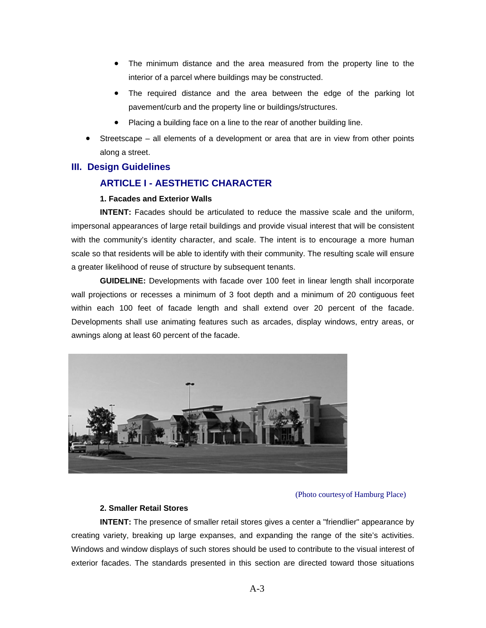- The minimum distance and the area measured from the property line to the interior of a parcel where buildings may be constructed.
- The required distance and the area between the edge of the parking lot pavement/curb and the property line or buildings/structures.
- Placing a building face on a line to the rear of another building line.
- Streetscape all elements of a development or area that are in view from other points along a street.

## **III. Design Guidelines**

# **ARTICLE I - AESTHETIC CHARACTER**

#### **1. Facades and Exterior Walls**

**INTENT:** Facades should be articulated to reduce the massive scale and the uniform, impersonal appearances of large retail buildings and provide visual interest that will be consistent with the community's identity character, and scale. The intent is to encourage a more human scale so that residents will be able to identify with their community. The resulting scale will ensure a greater likelihood of reuse of structure by subsequent tenants.

**GUIDELINE:** Developments with facade over 100 feet in linear length shall incorporate wall projections or recesses a minimum of 3 foot depth and a minimum of 20 contiguous feet within each 100 feet of facade length and shall extend over 20 percent of the facade. Developments shall use animating features such as arcades, display windows, entry areas, or awnings along at least 60 percent of the facade.



#### (Photo courtesy of Hamburg Place)

#### **2. Smaller Retail Stores**

**INTENT:** The presence of smaller retail stores gives a center a "friendlier" appearance by creating variety, breaking up large expanses, and expanding the range of the site's activities. Windows and window displays of such stores should be used to contribute to the visual interest of exterior facades. The standards presented in this section are directed toward those situations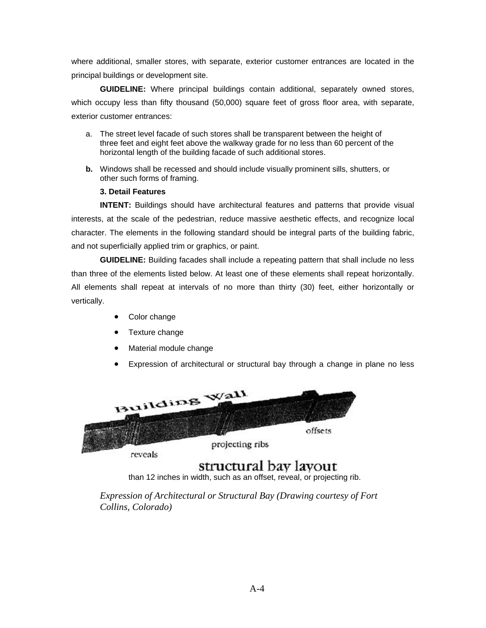where additional, smaller stores, with separate, exterior customer entrances are located in the principal buildings or development site.

**GUIDELINE:** Where principal buildings contain additional, separately owned stores, which occupy less than fifty thousand (50,000) square feet of gross floor area, with separate, exterior customer entrances:

- a. The street level facade of such stores shall be transparent between the height of three feet and eight feet above the walkway grade for no less than 60 percent of the horizontal length of the building facade of such additional stores.
- **b.** Windows shall be recessed and should include visually prominent sills, shutters, or other such forms of framing.

# **3. Detail Features**

**INTENT:** Buildings should have architectural features and patterns that provide visual interests, at the scale of the pedestrian, reduce massive aesthetic effects, and recognize local character. The elements in the following standard should be integral parts of the building fabric, and not superficially applied trim or graphics, or paint.

**GUIDELINE:** Building facades shall include a repeating pattern that shall include no less than three of the elements listed below. At least one of these elements shall repeat horizontally. All elements shall repeat at intervals of no more than thirty (30) feet, either horizontally or vertically.

- Color change
- Texture change
- Material module change
- Expression of architectural or structural bay through a change in plane no less



# structural bay layout

than 12 inches in width, such as an offset, reveal, or projecting rib.

*Expression of Architectural or Structural Bay (Drawing courtesy of Fort Collins, Colorado)*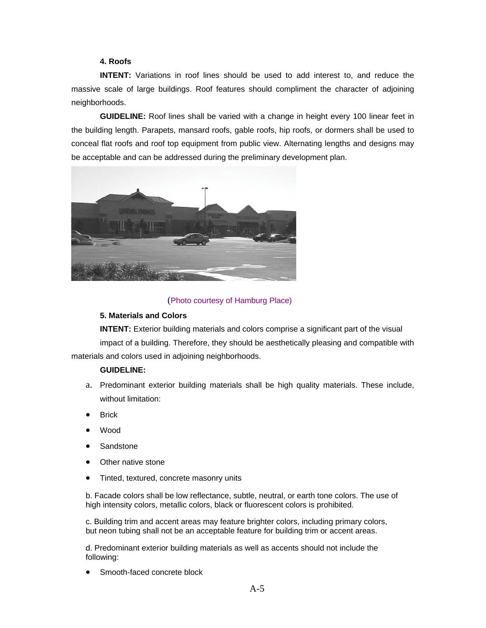## **4. Roofs**

**INTENT:** Variations in roof lines should be used to add interest to, and reduce the massive scale of large buildings. Roof features should compliment the character of adjoining neighborhoods.

**GUIDELINE:** Roof lines shall be varied with a change in height every 100 linear feet in the building length. Parapets, mansard roofs, gable roofs, hip roofs, or dormers shall be used to conceal flat roofs and roof top equipment from public view. Alternating lengths and designs may be acceptable and can be addressed during the preliminary development plan.



## (Photo courtesy of Hamburg Place)

#### **5. Materials and Colors**

**INTENT:** Exterior building materials and colors comprise a significant part of the visual impact of a building. Therefore, they should be aesthetically pleasing and compatible with materials and colors used in adjoining neighborhoods.

#### **GUIDELINE:**

- a. Predominant exterior building materials shall be high quality materials. These include, without limitation:
- **Brick**
- Wood
- **Sandstone**
- Other native stone
- Tinted, textured, concrete masonry units

b. Facade colors shall be low reflectance, subtle, neutral, or earth tone colors. The use of high intensity colors, metallic colors, black or fluorescent colors is prohibited.

c. Building trim and accent areas may feature brighter colors, including primary colors, but neon tubing shall not be an acceptable feature for building trim or accent areas.

d. Predominant exterior building materials as well as accents should not include the following:

Smooth-faced concrete block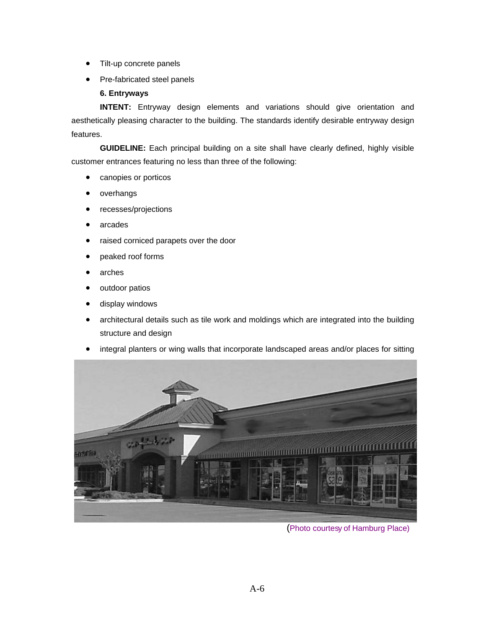- Tilt-up concrete panels
- Pre-fabricated steel panels

# **6. Entryways**

**INTENT:** Entryway design elements and variations should give orientation and aesthetically pleasing character to the building. The standards identify desirable entryway design features.

**GUIDELINE:** Each principal building on a site shall have clearly defined, highly visible customer entrances featuring no less than three of the following:

- canopies or porticos
- overhangs
- recesses/projections
- arcades
- raised corniced parapets over the door
- peaked roof forms
- arches
- outdoor patios
- display windows
- architectural details such as tile work and moldings which are integrated into the building structure and design
- integral planters or wing walls that incorporate landscaped areas and/or places for sitting



(Photo courtesy of Hamburg Place)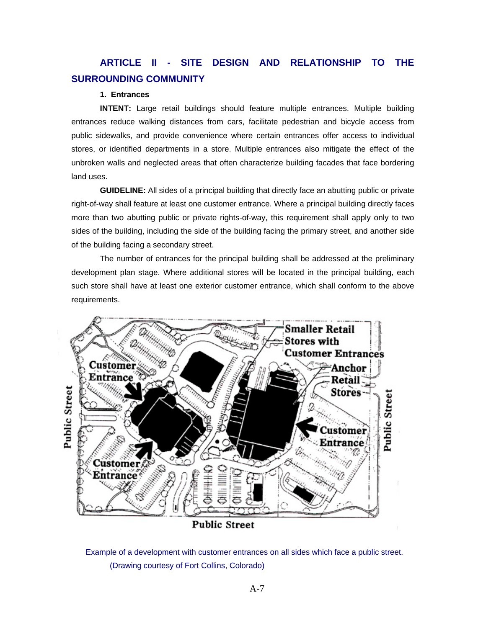# **ARTICLE II - SITE DESIGN AND RELATIONSHIP TO THE SURROUNDING COMMUNITY**

#### **1. Entrances**

**INTENT:** Large retail buildings should feature multiple entrances. Multiple building entrances reduce walking distances from cars, facilitate pedestrian and bicycle access from public sidewalks, and provide convenience where certain entrances offer access to individual stores, or identified departments in a store. Multiple entrances also mitigate the effect of the unbroken walls and neglected areas that often characterize building facades that face bordering land uses.

**GUIDELINE:** All sides of a principal building that directly face an abutting public or private right-of-way shall feature at least one customer entrance. Where a principal building directly faces more than two abutting public or private rights-of-way, this requirement shall apply only to two sides of the building, including the side of the building facing the primary street, and another side of the building facing a secondary street.

The number of entrances for the principal building shall be addressed at the preliminary development plan stage. Where additional stores will be located in the principal building, each such store shall have at least one exterior customer entrance, which shall conform to the above requirements.



Example of a development with customer entrances on all sides which face a public street. (Drawing courtesy of Fort Collins, Colorado)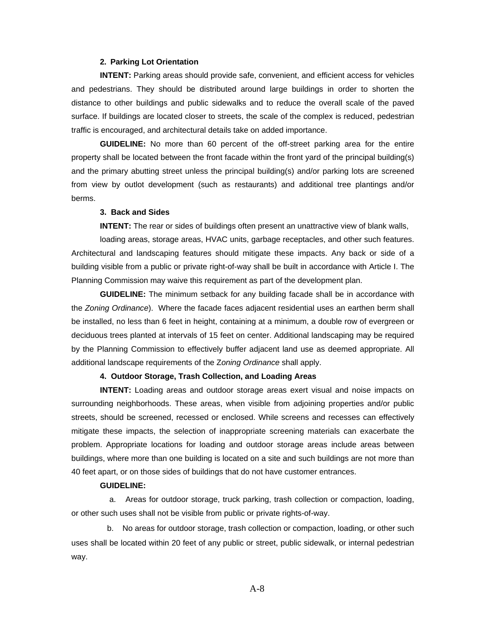#### **2. Parking Lot Orientation**

**INTENT:** Parking areas should provide safe, convenient, and efficient access for vehicles and pedestrians. They should be distributed around large buildings in order to shorten the distance to other buildings and public sidewalks and to reduce the overall scale of the paved surface. If buildings are located closer to streets, the scale of the complex is reduced, pedestrian traffic is encouraged, and architectural details take on added importance.

**GUIDELINE:** No more than 60 percent of the off-street parking area for the entire property shall be located between the front facade within the front yard of the principal building(s) and the primary abutting street unless the principal building(s) and/or parking lots are screened from view by outlot development (such as restaurants) and additional tree plantings and/or berms.

#### **3. Back and Sides**

**INTENT:** The rear or sides of buildings often present an unattractive view of blank walls,

loading areas, storage areas, HVAC units, garbage receptacles, and other such features. Architectural and landscaping features should mitigate these impacts. Any back or side of a building visible from a public or private right-of-way shall be built in accordance with Article I. The Planning Commission may waive this requirement as part of the development plan.

**GUIDELINE:** The minimum setback for any building facade shall be in accordance with the *Zoning Ordinance*). Where the facade faces adjacent residential uses an earthen berm shall be installed, no less than 6 feet in height, containing at a minimum, a double row of evergreen or deciduous trees planted at intervals of 15 feet on center. Additional landscaping may be required by the Planning Commission to effectively buffer adjacent land use as deemed appropriate. All additional landscape requirements of the Z*oning Ordinance* shall apply.

#### **4. Outdoor Storage, Trash Collection, and Loading Areas**

**INTENT:** Loading areas and outdoor storage areas exert visual and noise impacts on surrounding neighborhoods. These areas, when visible from adjoining properties and/or public streets, should be screened, recessed or enclosed. While screens and recesses can effectively mitigate these impacts, the selection of inappropriate screening materials can exacerbate the problem. Appropriate locations for loading and outdoor storage areas include areas between buildings, where more than one building is located on a site and such buildings are not more than 40 feet apart, or on those sides of buildings that do not have customer entrances.

#### **GUIDELINE:**

 a. Areas for outdoor storage, truck parking, trash collection or compaction, loading, or other such uses shall not be visible from public or private rights-of-way.

 b. No areas for outdoor storage, trash collection or compaction, loading, or other such uses shall be located within 20 feet of any public or street, public sidewalk, or internal pedestrian way.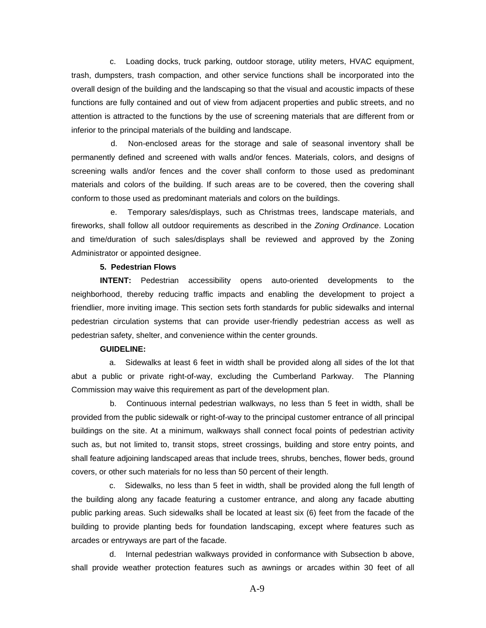c. Loading docks, truck parking, outdoor storage, utility meters, HVAC equipment, trash, dumpsters, trash compaction, and other service functions shall be incorporated into the overall design of the building and the landscaping so that the visual and acoustic impacts of these functions are fully contained and out of view from adjacent properties and public streets, and no attention is attracted to the functions by the use of screening materials that are different from or inferior to the principal materials of the building and landscape.

 d. Non-enclosed areas for the storage and sale of seasonal inventory shall be permanently defined and screened with walls and/or fences. Materials, colors, and designs of screening walls and/or fences and the cover shall conform to those used as predominant materials and colors of the building. If such areas are to be covered, then the covering shall conform to those used as predominant materials and colors on the buildings.

 e. Temporary sales/displays, such as Christmas trees, landscape materials, and fireworks, shall follow all outdoor requirements as described in the *Zoning Ordinance*. Location and time/duration of such sales/displays shall be reviewed and approved by the Zoning Administrator or appointed designee.

#### **5. Pedestrian Flows**

**INTENT:** Pedestrian accessibility opens auto-oriented developments to the neighborhood, thereby reducing traffic impacts and enabling the development to project a friendlier, more inviting image. This section sets forth standards for public sidewalks and internal pedestrian circulation systems that can provide user-friendly pedestrian access as well as pedestrian safety, shelter, and convenience within the center grounds.

#### **GUIDELINE:**

 a. Sidewalks at least 6 feet in width shall be provided along all sides of the lot that abut a public or private right-of-way, excluding the Cumberland Parkway. The Planning Commission may waive this requirement as part of the development plan.

 b. Continuous internal pedestrian walkways, no less than 5 feet in width, shall be provided from the public sidewalk or right-of-way to the principal customer entrance of all principal buildings on the site. At a minimum, walkways shall connect focal points of pedestrian activity such as, but not limited to, transit stops, street crossings, building and store entry points, and shall feature adjoining landscaped areas that include trees, shrubs, benches, flower beds, ground covers, or other such materials for no less than 50 percent of their length.

 c. Sidewalks, no less than 5 feet in width, shall be provided along the full length of the building along any facade featuring a customer entrance, and along any facade abutting public parking areas. Such sidewalks shall be located at least six (6) feet from the facade of the building to provide planting beds for foundation landscaping, except where features such as arcades or entryways are part of the facade.

 d. Internal pedestrian walkways provided in conformance with Subsection b above, shall provide weather protection features such as awnings or arcades within 30 feet of all

A-9